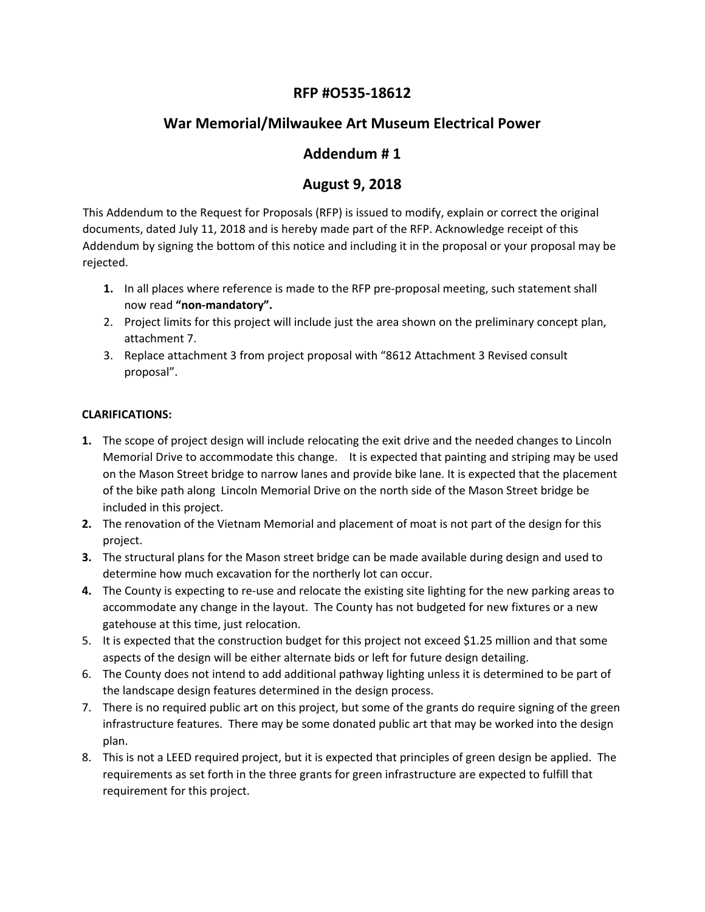## **RFP #O535‐18612**

## **War Memorial/Milwaukee Art Museum Electrical Power**

## **Addendum # 1**

## **August 9, 2018**

This Addendum to the Request for Proposals (RFP) is issued to modify, explain or correct the original documents, dated July 11, 2018 and is hereby made part of the RFP. Acknowledge receipt of this Addendum by signing the bottom of this notice and including it in the proposal or your proposal may be rejected.

- **1.** In all places where reference is made to the RFP pre-proposal meeting, such statement shall now read **"non‐mandatory".**
- 2. Project limits for this project will include just the area shown on the preliminary concept plan, attachment 7.
- 3. Replace attachment 3 from project proposal with "8612 Attachment 3 Revised consult proposal".

### **CLARIFICATIONS:**

- **1.** The scope of project design will include relocating the exit drive and the needed changes to Lincoln Memorial Drive to accommodate this change. It is expected that painting and striping may be used on the Mason Street bridge to narrow lanes and provide bike lane. It is expected that the placement of the bike path along Lincoln Memorial Drive on the north side of the Mason Street bridge be included in this project.
- **2.** The renovation of the Vietnam Memorial and placement of moat is not part of the design for this project.
- **3.** The structural plans for the Mason street bridge can be made available during design and used to determine how much excavation for the northerly lot can occur.
- **4.** The County is expecting to re‐use and relocate the existing site lighting for the new parking areas to accommodate any change in the layout. The County has not budgeted for new fixtures or a new gatehouse at this time, just relocation.
- 5. It is expected that the construction budget for this project not exceed \$1.25 million and that some aspects of the design will be either alternate bids or left for future design detailing.
- 6. The County does not intend to add additional pathway lighting unless it is determined to be part of the landscape design features determined in the design process.
- 7. There is no required public art on this project, but some of the grants do require signing of the green infrastructure features. There may be some donated public art that may be worked into the design plan.
- 8. This is not a LEED required project, but it is expected that principles of green design be applied. The requirements as set forth in the three grants for green infrastructure are expected to fulfill that requirement for this project.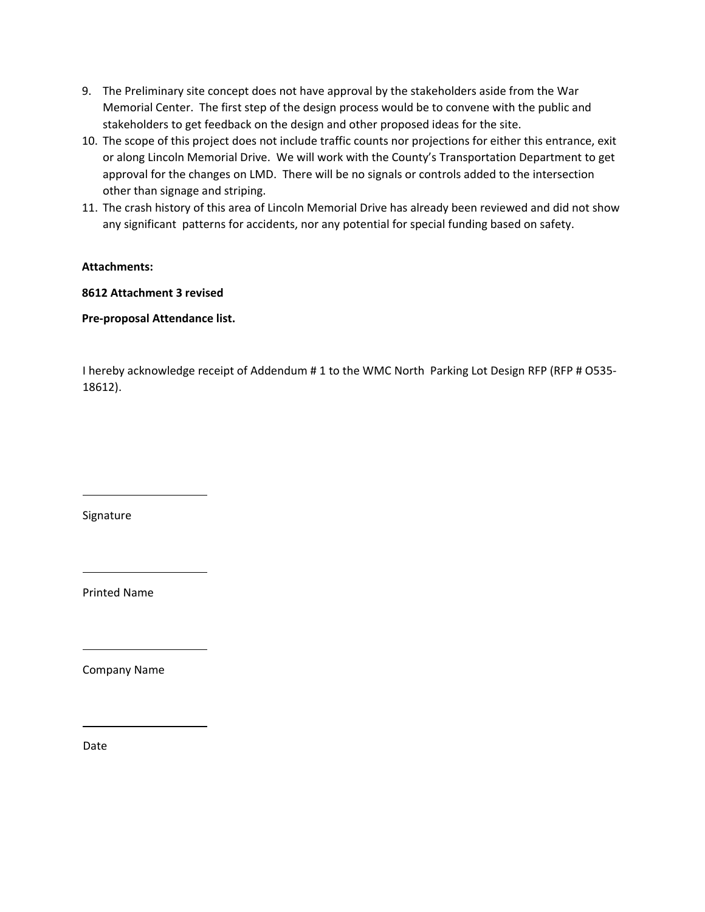- 9. The Preliminary site concept does not have approval by the stakeholders aside from the War Memorial Center. The first step of the design process would be to convene with the public and stakeholders to get feedback on the design and other proposed ideas for the site.
- 10. The scope of this project does not include traffic counts nor projections for either this entrance, exit or along Lincoln Memorial Drive. We will work with the County's Transportation Department to get approval for the changes on LMD. There will be no signals or controls added to the intersection other than signage and striping.
- 11. The crash history of this area of Lincoln Memorial Drive has already been reviewed and did not show any significant patterns for accidents, nor any potential for special funding based on safety.

### **Attachments:**

### **8612 Attachment 3 revised**

**Pre‐proposal Attendance list.**

I hereby acknowledge receipt of Addendum # 1 to the WMC North Parking Lot Design RFP (RFP # O535‐ 18612).

Signature

Printed Name

Company Name

Date

L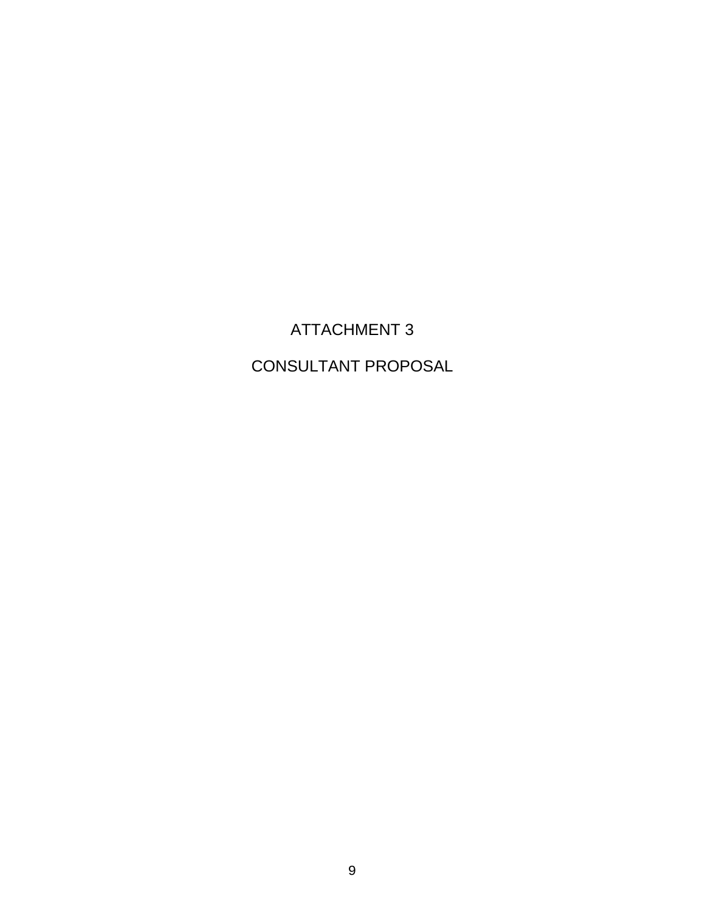# ATTACHMENT 3

# CONSULTANT PROPOSAL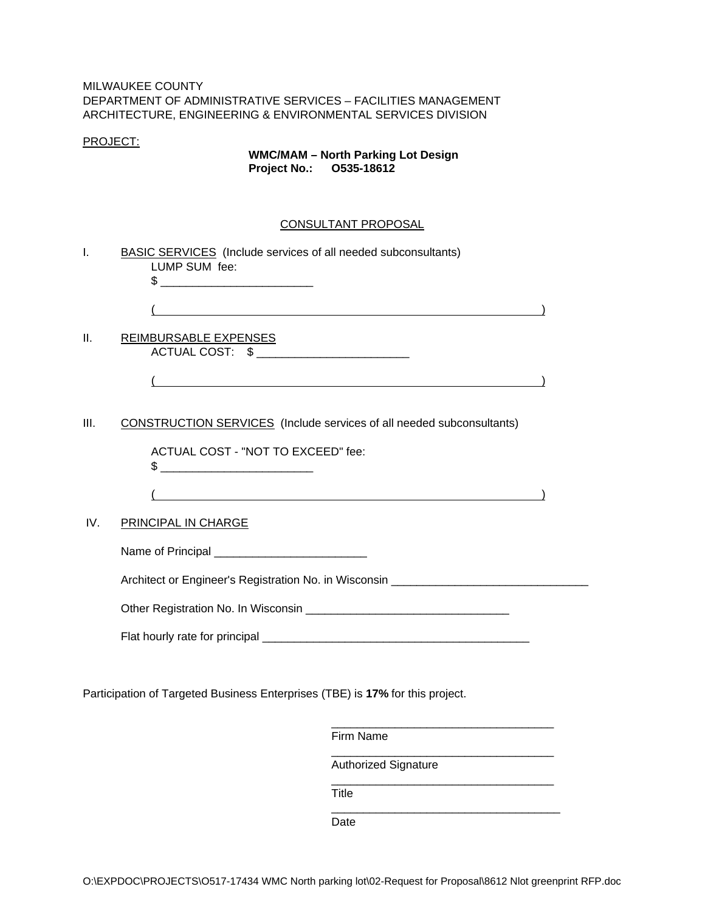### MILWAUKEE COUNTY DEPARTMENT OF ADMINISTRATIVE SERVICES – FACILITIES MANAGEMENT ARCHITECTURE, ENGINEERING & ENVIRONMENTAL SERVICES DIVISION

#### PROJECT:

### **WMC/MAM – North Parking Lot Design Project No.: O535-18612**

#### CONSULTANT PROPOSAL

|      | CONSULTANT PROPOSAL                                                                                                   |  |
|------|-----------------------------------------------------------------------------------------------------------------------|--|
| Τ.   | <b>BASIC SERVICES</b> (Include services of all needed subconsultants)<br>LUMP SUM fee:<br>$\frac{1}{2}$               |  |
|      |                                                                                                                       |  |
| II.  | REIMBURSABLE EXPENSES<br>ACTUAL COST: \$ __________________________                                                   |  |
|      | <u> 1989 - Johann Stoff, amerikansk politiker (d. 1989)</u>                                                           |  |
| III. | <b>CONSTRUCTION SERVICES</b> (Include services of all needed subconsultants)                                          |  |
|      | ACTUAL COST - "NOT TO EXCEED" fee:                                                                                    |  |
|      | <u> 1980 - Johann Stein, marwolaethau a bhann an t-Albann an t-Albann an t-Albann an t-Albann an t-Albann an t-Al</u> |  |
| IV.  | PRINCIPAL IN CHARGE                                                                                                   |  |
|      | Name of Principal ______________________________                                                                      |  |
|      | Architect or Engineer's Registration No. in Wisconsin ___________________________                                     |  |
|      |                                                                                                                       |  |
|      |                                                                                                                       |  |
|      | Participation of Targeted Business Enterprises (TBE) is 17% for this project.                                         |  |

Firm Name \_\_\_\_\_\_\_\_\_\_\_\_\_\_\_\_\_\_\_\_\_\_\_\_\_\_\_\_\_\_\_\_\_\_\_ Authorized Signature \_\_\_\_\_\_\_\_\_\_\_\_\_\_\_\_\_\_\_\_\_\_\_\_\_\_\_\_\_\_\_\_\_\_\_ Title \_\_\_\_\_\_\_\_\_\_\_\_\_\_\_\_\_\_\_\_\_\_\_\_\_\_\_\_\_\_\_\_\_\_\_\_ Date